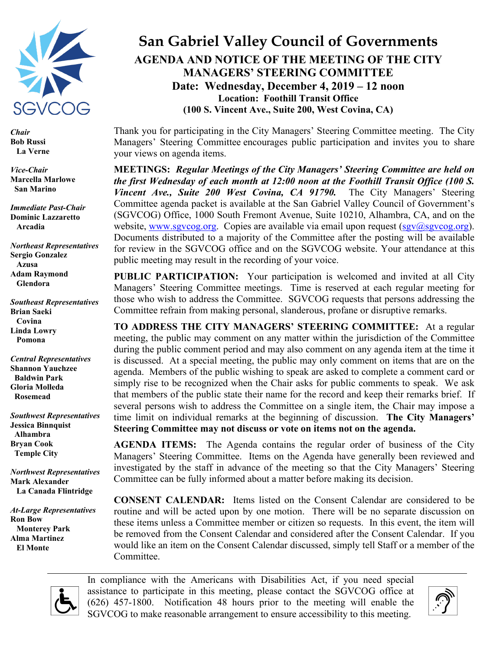

*Chair* **Bob Russi La Verne**

*Vice-Chair* **Marcella Marlowe San Marino**

*Immediate Past-Chair* **Dominic Lazzaretto Arcadia**

*Northeast Representatives* **Sergio Gonzalez Azusa Adam Raymond Glendora**

*Southeast Representatives* **Brian Saeki Covina Linda Lowry Pomona**

*Central Representatives* **Shannon Yauchzee Baldwin Park Gloria Molleda Rosemead**

*Southwest Representatives* **Jessica Binnquist Alhambra Bryan Cook Temple City**

*Northwest Representatives* **Mark Alexander La Canada Flintridge**

*At-Large Representatives* **Ron Bow Monterey Park Alma Martinez El Monte**

## **San Gabriel Valley Council of Governments AGENDA AND NOTICE OF THE MEETING OF THE CITY MANAGERS' STEERING COMMITTEE Date: Wednesday, December 4, 2019 – 12 noon Location: Foothill Transit Office (100 S. Vincent Ave., Suite 200, West Covina, CA)**

Thank you for participating in the City Managers' Steering Committee meeting. The City Managers' Steering Committee encourages public participation and invites you to share your views on agenda items.

**MEETINGS:** *Regular Meetings of the City Managers' Steering Committee are held on the first Wednesday of each month at 12:00 noon at the Foothill Transit Office (100 S. Vincent Ave., Suite 200 West Covina, CA 91790.* The City Managers' Steering Committee agenda packet is available at the San Gabriel Valley Council of Government's (SGVCOG) Office, 1000 South Fremont Avenue, Suite 10210, Alhambra, CA, and on the website, [www.sgvcog.org.](http://www.sgvcog.org/) Copies are available via email upon request  $(sgv@sgvcog.org)$ . Documents distributed to a majority of the Committee after the posting will be available for review in the SGVCOG office and on the SGVCOG website. Your attendance at this public meeting may result in the recording of your voice.

**PUBLIC PARTICIPATION:** Your participation is welcomed and invited at all City Managers' Steering Committee meetings. Time is reserved at each regular meeting for those who wish to address the Committee. SGVCOG requests that persons addressing the Committee refrain from making personal, slanderous, profane or disruptive remarks.

**TO ADDRESS THE CITY MANAGERS' STEERING COMMITTEE:** At a regular meeting, the public may comment on any matter within the jurisdiction of the Committee during the public comment period and may also comment on any agenda item at the time it is discussed. At a special meeting, the public may only comment on items that are on the agenda. Members of the public wishing to speak are asked to complete a comment card or simply rise to be recognized when the Chair asks for public comments to speak. We ask that members of the public state their name for the record and keep their remarks brief. If several persons wish to address the Committee on a single item, the Chair may impose a time limit on individual remarks at the beginning of discussion. **The City Managers' Steering Committee may not discuss or vote on items not on the agenda.** 

**AGENDA ITEMS:** The Agenda contains the regular order of business of the City Managers' Steering Committee. Items on the Agenda have generally been reviewed and investigated by the staff in advance of the meeting so that the City Managers' Steering Committee can be fully informed about a matter before making its decision.

**CONSENT CALENDAR:** Items listed on the Consent Calendar are considered to be routine and will be acted upon by one motion. There will be no separate discussion on these items unless a Committee member or citizen so requests. In this event, the item will be removed from the Consent Calendar and considered after the Consent Calendar. If you would like an item on the Consent Calendar discussed, simply tell Staff or a member of the Committee.



In compliance with the Americans with Disabilities Act, if you need special assistance to participate in this meeting, please contact the SGVCOG office at (626) 457-1800. Notification 48 hours prior to the meeting will enable the SGVCOG to make reasonable arrangement to ensure accessibility to this meeting.

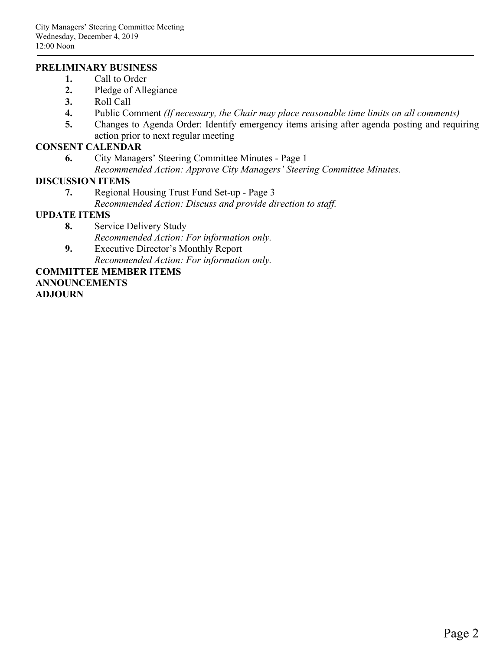### **PRELIMINARY BUSINESS**

- **1.** Call to Order
- **2.** Pledge of Allegiance
- **3.** Roll Call
- **4.** Public Comment *(If necessary, the Chair may place reasonable time limits on all comments)*
- **5.** Changes to Agenda Order: Identify emergency items arising after agenda posting and requiring action prior to next regular meeting

### **CONSENT CALENDAR**

**6.** City Managers' Steering Committee Minutes - Page 1 *Recommended Action: Approve City Managers' Steering Committee Minutes.*

### **DISCUSSION ITEMS**

- **7.** Regional Housing Trust Fund Set-up Page 3
	- *Recommended Action: Discuss and provide direction to staff.*

### **UPDATE ITEMS**

- **8.** Service Delivery Study *Recommended Action: For information only.*
- **9.** Executive Director's Monthly Report *Recommended Action: For information only.*

## **COMMITTEE MEMBER ITEMS ANNOUNCEMENTS**

**ADJOURN**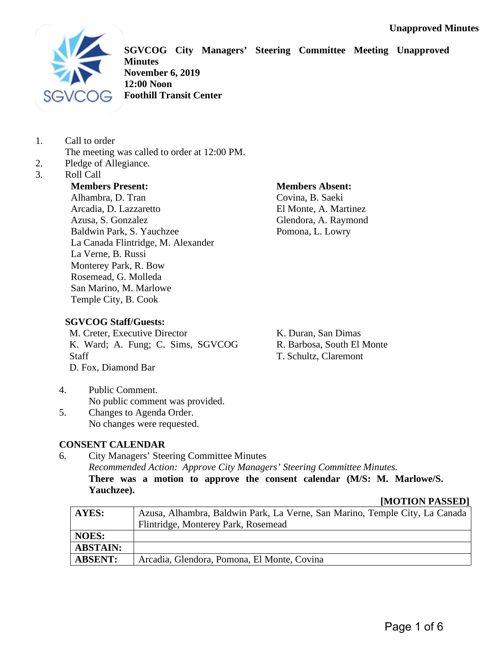

**SGVCOG City Managers' Steering Committee Meeting Unapproved Minutes November 6, 2019 12:00 Noon Foothill Transit Center**

- 1. Call to order The meeting was called to order at 12:00 PM.
- 2. Pledge of Allegiance.
- 3. Roll Call

## **Members Present:**

Alhambra, D. Tran Arcadia, D. Lazzaretto Azusa, S. Gonzalez Baldwin Park, S. Yauchzee La Canada Flintridge, M. Alexander La Verne, B. Russi Monterey Park, R. Bow Rosemead, G. Molleda San Marino, M. Marlowe Temple City, B. Cook

### **Members Absent:**

Covina, B. Saeki El Monte, A. Martinez Glendora, A. Raymond Pomona, L. Lowry

### **SGVCOG Staff/Guests:**

M. Creter, Executive Director K. Ward; A. Fung; C. Sims, SGVCOG Staff D. Fox, Diamond Bar

K. Duran, San Dimas R. Barbosa, South El Monte T. Schultz, Claremont

- 4. Public Comment. No public comment was provided.
- 5. Changes to Agenda Order. No changes were requested.

### **CONSENT CALENDAR**

6. City Managers' Steering Committee Minutes *Recommended Action: Approve City Managers' Steering Committee Minutes.* **There was a motion to approve the consent calendar (M/S: M. Marlowe/S. Yauchzee).**

### **[MOTION PASSED]**

| AYES:           | Azusa, Alhambra, Baldwin Park, La Verne, San Marino, Temple City, La Canada |
|-----------------|-----------------------------------------------------------------------------|
|                 | Flintridge, Monterey Park, Rosemead                                         |
| <b>NOES:</b>    |                                                                             |
| <b>ABSTAIN:</b> |                                                                             |
| <b>ABSENT:</b>  | Arcadia, Glendora, Pomona, El Monte, Covina                                 |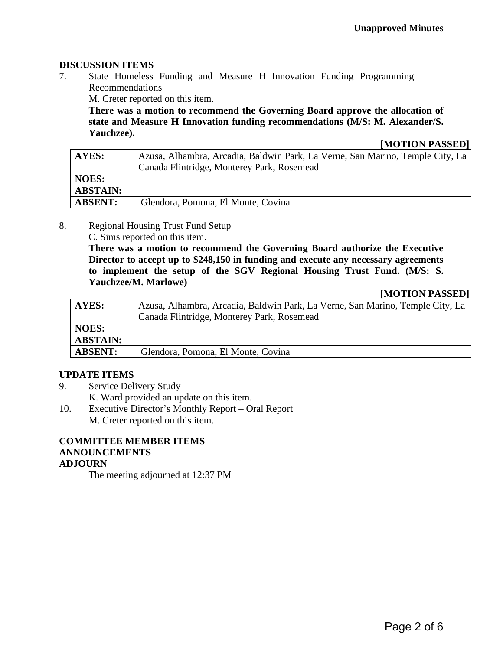### **DISCUSSION ITEMS**

7. State Homeless Funding and Measure H Innovation Funding Programming Recommendations

M. Creter reported on this item.

**There was a motion to recommend the Governing Board approve the allocation of state and Measure H Innovation funding recommendations (M/S: M. Alexander/S. Yauchzee).**

#### **[MOTION PASSED]**

| AYES:           | Azusa, Alhambra, Arcadia, Baldwin Park, La Verne, San Marino, Temple City, La |
|-----------------|-------------------------------------------------------------------------------|
|                 | Canada Flintridge, Monterey Park, Rosemead                                    |
| <b>NOES:</b>    |                                                                               |
| <b>ABSTAIN:</b> |                                                                               |
| <b>ABSENT:</b>  | Glendora, Pomona, El Monte, Covina                                            |

8. Regional Housing Trust Fund Setup

C. Sims reported on this item.

**There was a motion to recommend the Governing Board authorize the Executive Director to accept up to \$248,150 in funding and execute any necessary agreements to implement the setup of the SGV Regional Housing Trust Fund. (M/S: S. Yauchzee/M. Marlowe)**

#### **[MOTION PASSED]**

| AYES:           | Azusa, Alhambra, Arcadia, Baldwin Park, La Verne, San Marino, Temple City, La |
|-----------------|-------------------------------------------------------------------------------|
|                 | Canada Flintridge, Monterey Park, Rosemead                                    |
| <b>NOES:</b>    |                                                                               |
| <b>ABSTAIN:</b> |                                                                               |
| <b>ABSENT:</b>  | Glendora, Pomona, El Monte, Covina                                            |

### **UPDATE ITEMS**

- 9. Service Delivery Study
	- K. Ward provided an update on this item.
- 10. Executive Director's Monthly Report Oral Report M. Creter reported on this item.

### **COMMITTEE MEMBER ITEMS ANNOUNCEMENTS ADJOURN**

The meeting adjourned at 12:37 PM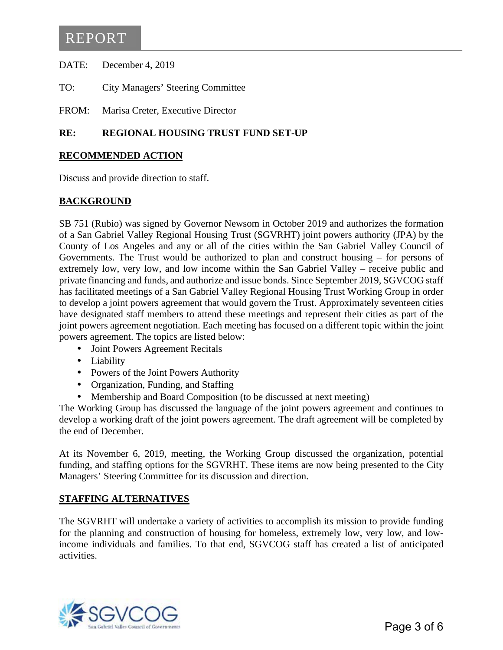DATE: December 4, 2019

TO: City Managers' Steering Committee

FROM: Marisa Creter, Executive Director

### **RE: REGIONAL HOUSING TRUST FUND SET-UP**

### **RECOMMENDED ACTION**

Discuss and provide direction to staff.

### **BACKGROUND**

SB 751 (Rubio) was signed by Governor Newsom in October 2019 and authorizes the formation of a San Gabriel Valley Regional Housing Trust (SGVRHT) joint powers authority (JPA) by the County of Los Angeles and any or all of the cities within the San Gabriel Valley Council of Governments. The Trust would be authorized to plan and construct housing – for persons of extremely low, very low, and low income within the San Gabriel Valley – receive public and private financing and funds, and authorize and issue bonds. Since September 2019, SGVCOG staff has facilitated meetings of a San Gabriel Valley Regional Housing Trust Working Group in order to develop a joint powers agreement that would govern the Trust. Approximately seventeen cities have designated staff members to attend these meetings and represent their cities as part of the joint powers agreement negotiation. Each meeting has focused on a different topic within the joint powers agreement. The topics are listed below:

- Joint Powers Agreement Recitals  $\mathbf{r} = \mathbf{r}$
- Liability
- Powers of the Joint Powers Authority
- Organization, Funding, and Staffing  $\mathcal{L}^{\text{max}}$
- Membership and Board Composition (to be discussed at next meeting)

The Working Group has discussed the language of the joint powers agreement and continues to develop a working draft of the joint powers agreement. The draft agreement will be completed by the end of December.

At its November 6, 2019, meeting, the Working Group discussed the organization, potential funding, and staffing options for the SGVRHT. These items are now being presented to the City Managers' Steering Committee for its discussion and direction.

#### **STAFFING ALTERNATIVES**

The SGVRHT will undertake a variety of activities to accomplish its mission to provide funding for the planning and construction of housing for homeless, extremely low, very low, and lowincome individuals and families. To that end, SGVCOG staff has created a list of anticipated activities.

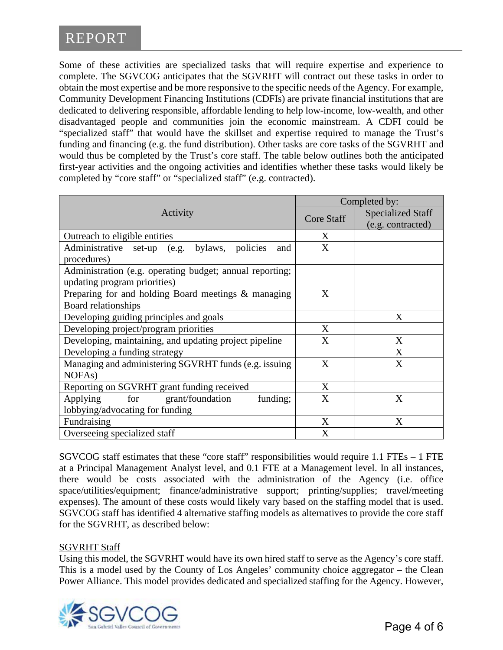Some of these activities are specialized tasks that will require expertise and experience to complete. The SGVCOG anticipates that the SGVRHT will contract out these tasks in order to obtain the most expertise and be more responsive to the specific needs of the Agency. For example, Community Development Financing Institutions (CDFIs) are private financial institutions that are dedicated to delivering responsible, affordable lending to help low-income, low-wealth, and other disadvantaged people and communities join the economic mainstream. A CDFI could be "specialized staff" that would have the skillset and expertise required to manage the Trust's funding and financing (e.g. the fund distribution). Other tasks are core tasks of the SGVRHT and would thus be completed by the Trust's core staff. The table below outlines both the anticipated first-year activities and the ongoing activities and identifies whether these tasks would likely be completed by "core staff" or "specialized staff" (e.g. contracted).

|                                                          | Completed by:     |                          |
|----------------------------------------------------------|-------------------|--------------------------|
| Activity                                                 | <b>Core Staff</b> | <b>Specialized Staff</b> |
|                                                          |                   | (e.g. contracted)        |
| Outreach to eligible entities                            | X                 |                          |
| Administrative set-up (e.g. bylaws, policies<br>and      | X                 |                          |
| procedures)                                              |                   |                          |
| Administration (e.g. operating budget; annual reporting; |                   |                          |
| updating program priorities)                             |                   |                          |
| Preparing for and holding Board meetings & managing      | X                 |                          |
| Board relationships                                      |                   |                          |
| Developing guiding principles and goals                  |                   | X                        |
| Developing project/program priorities                    | X                 |                          |
| Developing, maintaining, and updating project pipeline   | $\mathbf{X}$      | X                        |
| Developing a funding strategy                            |                   | X                        |
| Managing and administering SGVRHT funds (e.g. issuing    | X                 | X                        |
| NOFA <sub>s</sub> )                                      |                   |                          |
| Reporting on SGVRHT grant funding received               | X                 |                          |
| grant/foundation<br>for<br>funding;<br>Applying          | X                 | X                        |
| lobbying/advocating for funding                          |                   |                          |
| Fundraising                                              | X                 | X                        |
| Overseeing specialized staff                             | X                 |                          |

SGVCOG staff estimates that these "core staff" responsibilities would require 1.1 FTEs – 1 FTE at a Principal Management Analyst level, and 0.1 FTE at a Management level. In all instances, there would be costs associated with the administration of the Agency (i.e. office space/utilities/equipment; finance/administrative support; printing/supplies; travel/meeting expenses). The amount of these costs would likely vary based on the staffing model that is used. SGVCOG staff has identified 4 alternative staffing models as alternatives to provide the core staff for the SGVRHT, as described below:

### SGVRHT Staff

Using this model, the SGVRHT would have its own hired staff to serve as the Agency's core staff. This is a model used by the County of Los Angeles' community choice aggregator – the Clean Power Alliance. This model provides dedicated and specialized staffing for the Agency. However,

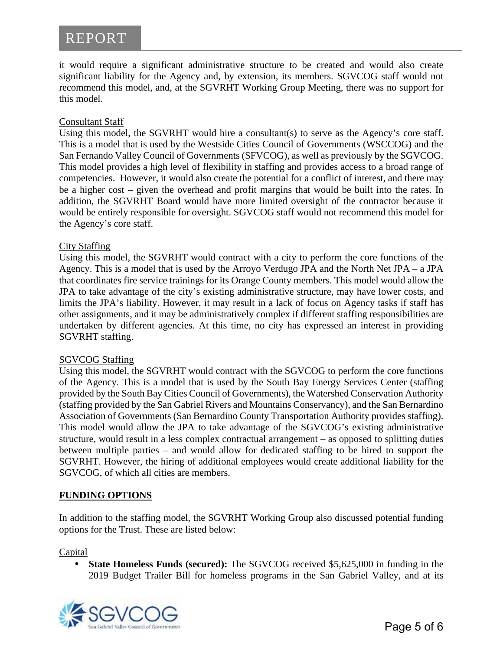it would require a significant administrative structure to be created and would also create significant liability for the Agency and, by extension, its members. SGVCOG staff would not recommend this model, and, at the SGVRHT Working Group Meeting, there was no support for this model.

### Consultant Staff

Using this model, the SGVRHT would hire a consultant(s) to serve as the Agency's core staff. This is a model that is used by the Westside Cities Council of Governments (WSCCOG) and the San Fernando Valley Council of Governments (SFVCOG), as well as previously by the SGVCOG. This model provides a high level of flexibility in staffing and provides access to a broad range of competencies. However, it would also create the potential for a conflict of interest, and there may be a higher cost – given the overhead and profit margins that would be built into the rates. In addition, the SGVRHT Board would have more limited oversight of the contractor because it would be entirely responsible for oversight. SGVCOG staff would not recommend this model for the Agency's core staff.

### City Staffing

Using this model, the SGVRHT would contract with a city to perform the core functions of the Agency. This is a model that is used by the Arroyo Verdugo JPA and the North Net JPA – a JPA that coordinates fire service trainings for its Orange County members. This model would allow the JPA to take advantage of the city's existing administrative structure, may have lower costs, and limits the JPA's liability. However, it may result in a lack of focus on Agency tasks if staff has other assignments, and it may be administratively complex if different staffing responsibilities are undertaken by different agencies. At this time, no city has expressed an interest in providing SGVRHT staffing.

### SGVCOG Staffing

Using this model, the SGVRHT would contract with the SGVCOG to perform the core functions of the Agency. This is a model that is used by the South Bay Energy Services Center (staffing provided by the South Bay Cities Council of Governments), the Watershed Conservation Authority (staffing provided by the San Gabriel Rivers and Mountains Conservancy), and the San Bernardino Association of Governments (San Bernardino County Transportation Authority provides staffing). This model would allow the JPA to take advantage of the SGVCOG's existing administrative structure, would result in a less complex contractual arrangement – as opposed to splitting duties between multiple parties – and would allow for dedicated staffing to be hired to support the SGVRHT. However, the hiring of additional employees would create additional liability for the SGVCOG, of which all cities are members.

### **FUNDING OPTIONS**

In addition to the staffing model, the SGVRHT Working Group also discussed potential funding options for the Trust. These are listed below:

**Capital** 

**State Homeless Funds (secured):** The SGVCOG received \$5,625,000 in funding in the 2019 Budget Trailer Bill for homeless programs in the San Gabriel Valley, and at its